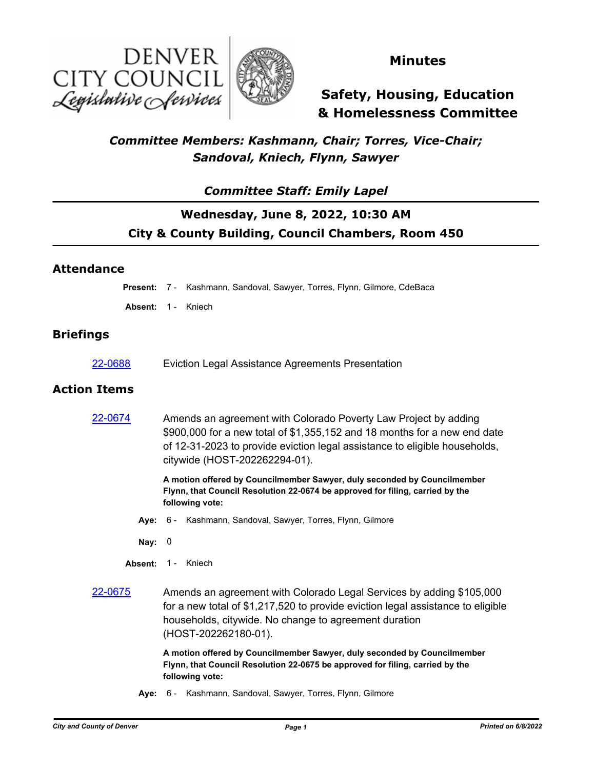



### **Minutes**

# **Safety, Housing, Education & Homelessness Committee**

### *Committee Members: Kashmann, Chair; Torres, Vice-Chair; Sandoval, Kniech, Flynn, Sawyer*

#### *Committee Staff: Emily Lapel*

# **Wednesday, June 8, 2022, 10:30 AM City & County Building, Council Chambers, Room 450**

#### **Attendance**

**Present:** 7 - Kashmann, Sandoval, Sawyer, Torres, Flynn, Gilmore, CdeBaca

Absent: 1 - Kniech

#### **Briefings**

[22-0688](http://denver.legistar.com/gateway.aspx?m=l&id=/matter.aspx?key=21755) Eviction Legal Assistance Agreements Presentation

#### **Action Items**

| 22-0674 | Amends an agreement with Colorado Poverty Law Project by adding<br>$$900,000$ for a new total of $$1,355,152$ and 18 months for a new end date<br>of 12-31-2023 to provide eviction legal assistance to eligible households,<br>citywide (HOST-202262294-01). |
|---------|---------------------------------------------------------------------------------------------------------------------------------------------------------------------------------------------------------------------------------------------------------------|
|         | A motion offered by Councilmember Sawyer, duly seconded by Councilmember<br>Flynn, that Council Resolution 22-0674 be approved for filing, carried by the<br>following vote:                                                                                  |
|         | Aye: 6 - Kashmann, Sandoval, Sawyer, Torres, Flynn, Gilmore                                                                                                                                                                                                   |
| Nay:    | 0                                                                                                                                                                                                                                                             |
| Absent: | $1 -$<br>Kniech                                                                                                                                                                                                                                               |
| 22-0675 | Amends an agreement with Colorado Legal Services by adding \$105,000<br>for a new total of \$1,217,520 to provide eviction legal assistance to eligible<br>households, citywide. No change to agreement duration<br>(HOST-202262180-01).                      |
|         | A motion offered by Councilmember Sawyer, duly seconded by Councilmember<br>Flynn, that Council Resolution 22-0675 be approved for filing, carried by the<br>following vote:                                                                                  |
| Ave:    | 6 - Kashmann, Sandoval, Sawyer, Torres, Flynn, Gilmore                                                                                                                                                                                                        |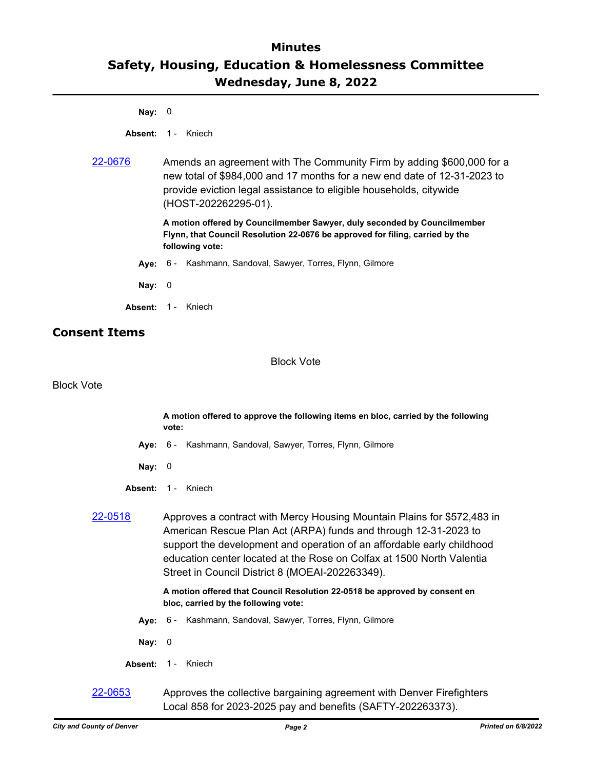**Nay:** 0

**Absent:** 1 - Kniech

[22-0676](http://denver.legistar.com/gateway.aspx?m=l&id=/matter.aspx?key=21743) Amends an agreement with The Community Firm by adding \$600,000 for a new total of \$984,000 and 17 months for a new end date of 12-31-2023 to provide eviction legal assistance to eligible households, citywide (HOST-202262295-01).

> **A motion offered by Councilmember Sawyer, duly seconded by Councilmember Flynn, that Council Resolution 22-0676 be approved for filing, carried by the following vote:**

- **Aye:** 6 Kashmann, Sandoval, Sawyer, Torres, Flynn, Gilmore
- **Nay:** 0
- **Absent:** 1 Kniech

#### **Consent Items**

Block Vote

Block Vote

**A motion offered to approve the following items en bloc, carried by the following vote:**

- **Aye:** 6 Kashmann, Sandoval, Sawyer, Torres, Flynn, Gilmore
- **Nay:** 0
- **Absent:** 1 Kniech
- [22-0518](http://denver.legistar.com/gateway.aspx?m=l&id=/matter.aspx?key=21585) Approves a contract with Mercy Housing Mountain Plains for \$572,483 in American Rescue Plan Act (ARPA) funds and through 12-31-2023 to support the development and operation of an affordable early childhood education center located at the Rose on Colfax at 1500 North Valentia Street in Council District 8 (MOEAI-202263349).

**A motion offered that Council Resolution 22-0518 be approved by consent en bloc, carried by the following vote:**

- **Aye:** 6 Kashmann, Sandoval, Sawyer, Torres, Flynn, Gilmore
- **Nay:** 0
- **Absent:** 1 Kniech
- [22-0653](http://denver.legistar.com/gateway.aspx?m=l&id=/matter.aspx?key=21720) Approves the collective bargaining agreement with Denver Firefighters Local 858 for 2023-2025 pay and benefits (SAFTY-202263373).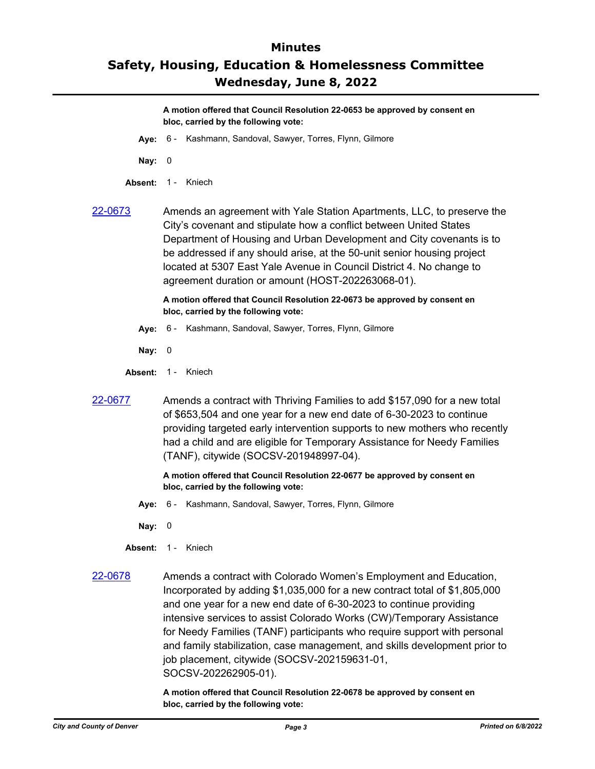**A motion offered that Council Resolution 22-0653 be approved by consent en bloc, carried by the following vote:**

- **Aye:** 6 Kashmann, Sandoval, Sawyer, Torres, Flynn, Gilmore
- **Nay:** 0
- **Absent:** 1 Kniech
- 

[22-0673](http://denver.legistar.com/gateway.aspx?m=l&id=/matter.aspx?key=21740) Amends an agreement with Yale Station Apartments, LLC, to preserve the City's covenant and stipulate how a conflict between United States Department of Housing and Urban Development and City covenants is to be addressed if any should arise, at the 50-unit senior housing project located at 5307 East Yale Avenue in Council District 4. No change to agreement duration or amount (HOST-202263068-01).

> **A motion offered that Council Resolution 22-0673 be approved by consent en bloc, carried by the following vote:**

- **Aye:** 6 Kashmann, Sandoval, Sawyer, Torres, Flynn, Gilmore
- **Nay:** 0
- Absent: 1 Kniech
- [22-0677](http://denver.legistar.com/gateway.aspx?m=l&id=/matter.aspx?key=21744) Amends a contract with Thriving Families to add \$157,090 for a new total of \$653,504 and one year for a new end date of 6-30-2023 to continue providing targeted early intervention supports to new mothers who recently had a child and are eligible for Temporary Assistance for Needy Families (TANF), citywide (SOCSV-201948997-04).

#### **A motion offered that Council Resolution 22-0677 be approved by consent en bloc, carried by the following vote:**

- **Aye:** 6 Kashmann, Sandoval, Sawyer, Torres, Flynn, Gilmore
- **Nay:** 0
- **Absent:** 1 Kniech
- [22-0678](http://denver.legistar.com/gateway.aspx?m=l&id=/matter.aspx?key=21745) Amends a contract with Colorado Women's Employment and Education, Incorporated by adding \$1,035,000 for a new contract total of \$1,805,000 and one year for a new end date of 6-30-2023 to continue providing intensive services to assist Colorado Works (CW)/Temporary Assistance for Needy Families (TANF) participants who require support with personal and family stabilization, case management, and skills development prior to job placement, citywide (SOCSV-202159631-01, SOCSV-202262905-01).

**A motion offered that Council Resolution 22-0678 be approved by consent en bloc, carried by the following vote:**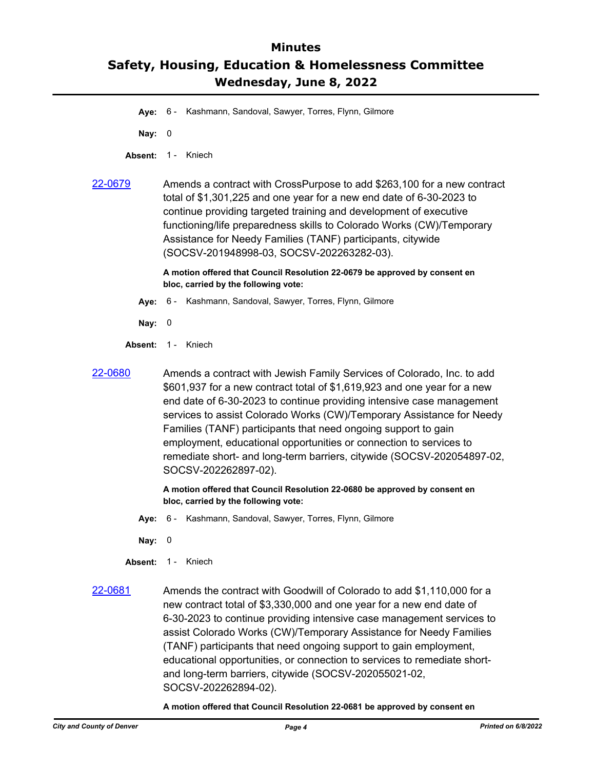- **Aye:** 6 Kashmann, Sandoval, Sawyer, Torres, Flynn, Gilmore
- **Nay:** 0
- Absent: 1 Kniech
- [22-0679](http://denver.legistar.com/gateway.aspx?m=l&id=/matter.aspx?key=21746) Amends a contract with CrossPurpose to add \$263,100 for a new contract total of \$1,301,225 and one year for a new end date of 6-30-2023 to continue providing targeted training and development of executive functioning/life preparedness skills to Colorado Works (CW)/Temporary Assistance for Needy Families (TANF) participants, citywide (SOCSV-201948998-03, SOCSV-202263282-03).

**A motion offered that Council Resolution 22-0679 be approved by consent en bloc, carried by the following vote:**

- **Aye:** 6 Kashmann, Sandoval, Sawyer, Torres, Flynn, Gilmore
- **Nay:** 0
- **Absent:** 1 Kniech
- 

[22-0680](http://denver.legistar.com/gateway.aspx?m=l&id=/matter.aspx?key=21747) Amends a contract with Jewish Family Services of Colorado, Inc. to add \$601,937 for a new contract total of \$1,619,923 and one year for a new end date of 6-30-2023 to continue providing intensive case management services to assist Colorado Works (CW)/Temporary Assistance for Needy Families (TANF) participants that need ongoing support to gain employment, educational opportunities or connection to services to remediate short- and long-term barriers, citywide (SOCSV-202054897-02, SOCSV-202262897-02).

> **A motion offered that Council Resolution 22-0680 be approved by consent en bloc, carried by the following vote:**

- **Aye:** 6 Kashmann, Sandoval, Sawyer, Torres, Flynn, Gilmore
- **Nay:** 0
- **Absent:** 1 Kniech
- [22-0681](http://denver.legistar.com/gateway.aspx?m=l&id=/matter.aspx?key=21748) Amends the contract with Goodwill of Colorado to add \$1,110,000 for a new contract total of \$3,330,000 and one year for a new end date of 6-30-2023 to continue providing intensive case management services to assist Colorado Works (CW)/Temporary Assistance for Needy Families (TANF) participants that need ongoing support to gain employment, educational opportunities, or connection to services to remediate shortand long-term barriers, citywide (SOCSV-202055021-02, SOCSV-202262894-02).

**A motion offered that Council Resolution 22-0681 be approved by consent en**